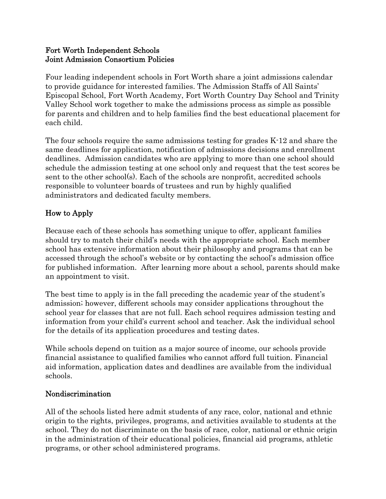#### Fort Worth Independent Schools Joint Admission Consortium Policies

Four leading independent schools in Fort Worth share a joint admissions calendar to provide guidance for interested families. The Admission Staffs of All Saints' Episcopal School, Fort Worth Academy, Fort Worth Country Day School and Trinity Valley School work together to make the admissions process as simple as possible for parents and children and to help families find the best educational placement for each child.

The four schools require the same admissions testing for grades K-12 and share the same deadlines for application, notification of admissions decisions and enrollment deadlines. Admission candidates who are applying to more than one school should schedule the admission testing at one school only and request that the test scores be sent to the other school(s). Each of the schools are nonprofit, accredited schools responsible to volunteer boards of trustees and run by highly qualified administrators and dedicated faculty members.

# How to Apply

Because each of these schools has something unique to offer, applicant families should try to match their child's needs with the appropriate school. Each member school has extensive information about their philosophy and programs that can be accessed through the school's website or by contacting the school's admission office for published information. After learning more about a school, parents should make an appointment to visit.

The best time to apply is in the fall preceding the academic year of the student's admission; however, different schools may consider applications throughout the school year for classes that are not full. Each school requires admission testing and information from your child's current school and teacher. Ask the individual school for the details of its application procedures and testing dates.

While schools depend on tuition as a major source of income, our schools provide financial assistance to qualified families who cannot afford full tuition. Financial aid information, application dates and deadlines are available from the individual schools.

#### Nondiscrimination

All of the schools listed here admit students of any race, color, national and ethnic origin to the rights, privileges, programs, and activities available to students at the school. They do not discriminate on the basis of race, color, national or ethnic origin in the administration of their educational policies, financial aid programs, athletic programs, or other school administered programs.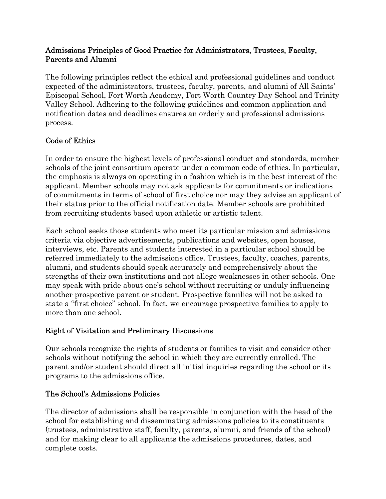#### Admissions Principles of Good Practice for Administrators, Trustees, Faculty, Parents and Alumni

The following principles reflect the ethical and professional guidelines and conduct expected of the administrators, trustees, faculty, parents, and alumni of All Saints' Episcopal School, Fort Worth Academy, Fort Worth Country Day School and Trinity Valley School. Adhering to the following guidelines and common application and notification dates and deadlines ensures an orderly and professional admissions process.

# Code of Ethics

In order to ensure the highest levels of professional conduct and standards, member schools of the joint consortium operate under a common code of ethics. In particular, the emphasis is always on operating in a fashion which is in the best interest of the applicant. Member schools may not ask applicants for commitments or indications of commitments in terms of school of first choice nor may they advise an applicant of their status prior to the official notification date. Member schools are prohibited from recruiting students based upon athletic or artistic talent.

Each school seeks those students who meet its particular mission and admissions criteria via objective advertisements, publications and websites, open houses, interviews, etc. Parents and students interested in a particular school should be referred immediately to the admissions office. Trustees, faculty, coaches, parents, alumni, and students should speak accurately and comprehensively about the strengths of their own institutions and not allege weaknesses in other schools. One may speak with pride about one's school without recruiting or unduly influencing another prospective parent or student. Prospective families will not be asked to state a "first choice" school. In fact, we encourage prospective families to apply to more than one school.

## Right of Visitation and Preliminary Discussions

Our schools recognize the rights of students or families to visit and consider other schools without notifying the school in which they are currently enrolled. The parent and/or student should direct all initial inquiries regarding the school or its programs to the admissions office.

#### The School's Admissions Policies

The director of admissions shall be responsible in conjunction with the head of the school for establishing and disseminating admissions policies to its constituents (trustees, administrative staff, faculty, parents, alumni, and friends of the school) and for making clear to all applicants the admissions procedures, dates, and complete costs.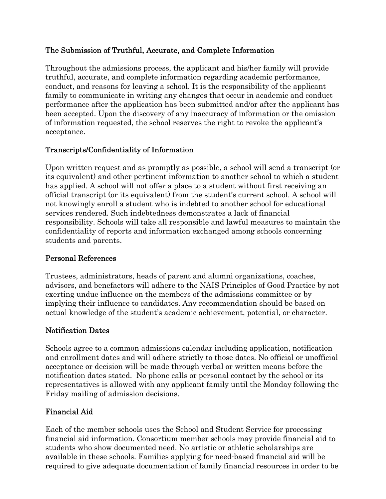## The Submission of Truthful, Accurate, and Complete Information

Throughout the admissions process, the applicant and his/her family will provide truthful, accurate, and complete information regarding academic performance, conduct, and reasons for leaving a school. It is the responsibility of the applicant family to communicate in writing any changes that occur in academic and conduct performance after the application has been submitted and/or after the applicant has been accepted. Upon the discovery of any inaccuracy of information or the omission of information requested, the school reserves the right to revoke the applicant's acceptance.

### Transcripts/Confidentiality of Information

Upon written request and as promptly as possible, a school will send a transcript (or its equivalent) and other pertinent information to another school to which a student has applied. A school will not offer a place to a student without first receiving an official transcript (or its equivalent) from the student's current school. A school will not knowingly enroll a student who is indebted to another school for educational services rendered. Such indebtedness demonstrates a lack of financial responsibility. Schools will take all responsible and lawful measures to maintain the confidentiality of reports and information exchanged among schools concerning students and parents.

#### Personal References

Trustees, administrators, heads of parent and alumni organizations, coaches, advisors, and benefactors will adhere to the NAIS Principles of Good Practice by not exerting undue influence on the members of the admissions committee or by implying their influence to candidates. Any recommendation should be based on actual knowledge of the student's academic achievement, potential, or character.

#### Notification Dates

Schools agree to a common admissions calendar including application, notification and enrollment dates and will adhere strictly to those dates. No official or unofficial acceptance or decision will be made through verbal or written means before the notification dates stated. No phone calls or personal contact by the school or its representatives is allowed with any applicant family until the Monday following the Friday mailing of admission decisions.

#### Financial Aid

Each of the member schools uses the School and Student Service for processing financial aid information. Consortium member schools may provide financial aid to students who show documented need. No artistic or athletic scholarships are available in these schools. Families applying for need-based financial aid will be required to give adequate documentation of family financial resources in order to be